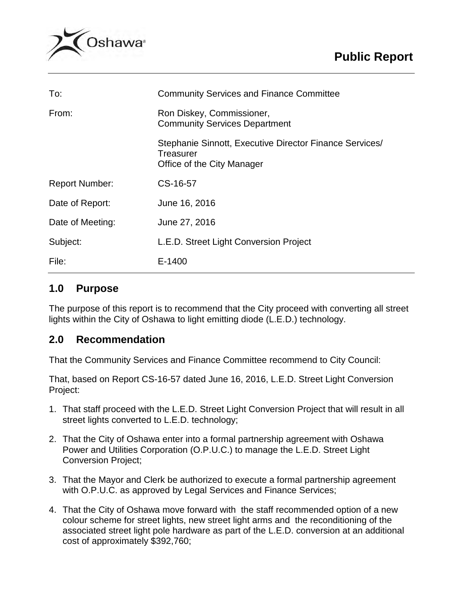

| To:                   | <b>Community Services and Finance Committee</b>                                                    |  |
|-----------------------|----------------------------------------------------------------------------------------------------|--|
| From:                 | Ron Diskey, Commissioner,<br><b>Community Services Department</b>                                  |  |
|                       | Stephanie Sinnott, Executive Director Finance Services/<br>Treasurer<br>Office of the City Manager |  |
| <b>Report Number:</b> | CS-16-57                                                                                           |  |
| Date of Report:       | June 16, 2016                                                                                      |  |
| Date of Meeting:      | June 27, 2016                                                                                      |  |
| Subject:              | L.E.D. Street Light Conversion Project                                                             |  |
| File:                 | E-1400                                                                                             |  |

# **1.0 Purpose**

The purpose of this report is to recommend that the City proceed with converting all street lights within the City of Oshawa to light emitting diode (L.E.D.) technology.

# **2.0 Recommendation**

That the Community Services and Finance Committee recommend to City Council:

That, based on Report CS-16-57 dated June 16, 2016, L.E.D. Street Light Conversion Project:

- 1. That staff proceed with the L.E.D. Street Light Conversion Project that will result in all street lights converted to L.E.D. technology;
- 2. That the City of Oshawa enter into a formal partnership agreement with Oshawa Power and Utilities Corporation (O.P.U.C.) to manage the L.E.D. Street Light Conversion Project;
- 3. That the Mayor and Clerk be authorized to execute a formal partnership agreement with O.P.U.C. as approved by Legal Services and Finance Services;
- 4. That the City of Oshawa move forward with the staff recommended option of a new colour scheme for street lights, new street light arms and the reconditioning of the associated street light pole hardware as part of the L.E.D. conversion at an additional cost of approximately \$392,760;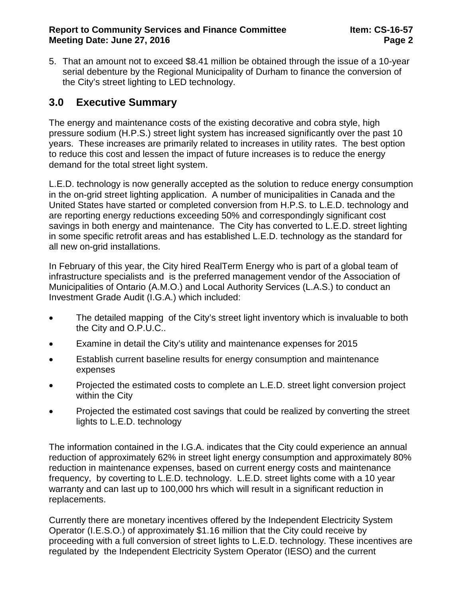5. That an amount not to exceed \$8.41 million be obtained through the issue of a 10-year serial debenture by the Regional Municipality of Durham to finance the conversion of the City's street lighting to LED technology.

# **3.0 Executive Summary**

The energy and maintenance costs of the existing decorative and cobra style, high pressure sodium (H.P.S.) street light system has increased significantly over the past 10 years. These increases are primarily related to increases in utility rates. The best option to reduce this cost and lessen the impact of future increases is to reduce the energy demand for the total street light system.

L.E.D. technology is now generally accepted as the solution to reduce energy consumption in the on-grid street lighting application. A number of municipalities in Canada and the United States have started or completed conversion from H.P.S. to L.E.D. technology and are reporting energy reductions exceeding 50% and correspondingly significant cost savings in both energy and maintenance. The City has converted to L.E.D. street lighting in some specific retrofit areas and has established L.E.D. technology as the standard for all new on-grid installations.

In February of this year, the City hired RealTerm Energy who is part of a global team of infrastructure specialists and is the preferred management vendor of the Association of Municipalities of Ontario (A.M.O.) and Local Authority Services (L.A.S.) to conduct an Investment Grade Audit (I.G.A.) which included:

- The detailed mapping of the City's street light inventory which is invaluable to both the City and O.P.U.C..
- Examine in detail the City's utility and maintenance expenses for 2015
- Establish current baseline results for energy consumption and maintenance expenses
- Projected the estimated costs to complete an L.E.D. street light conversion project within the City
- Projected the estimated cost savings that could be realized by converting the street lights to L.E.D. technology

The information contained in the I.G.A. indicates that the City could experience an annual reduction of approximately 62% in street light energy consumption and approximately 80% reduction in maintenance expenses, based on current energy costs and maintenance frequency, by coverting to L.E.D. technology. L.E.D. street lights come with a 10 year warranty and can last up to 100,000 hrs which will result in a significant reduction in replacements.

Currently there are monetary incentives offered by the Independent Electricity System Operator (I.E.S.O.) of approximately \$1.16 million that the City could receive by proceeding with a full conversion of street lights to L.E.D. technology. These incentives are regulated by the Independent Electricity System Operator (IESO) and the current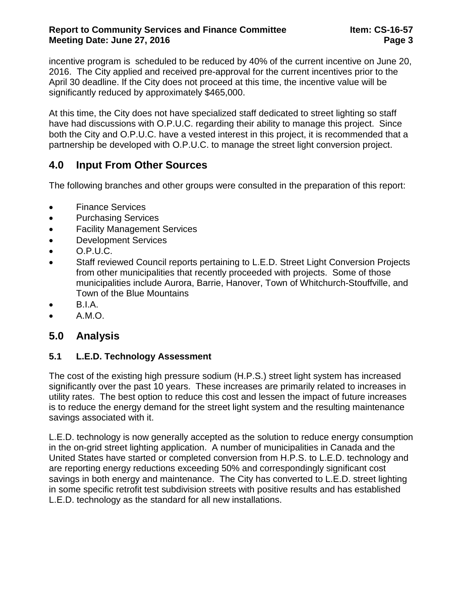incentive program is scheduled to be reduced by 40% of the current incentive on June 20, 2016. The City applied and received pre-approval for the current incentives prior to the April 30 deadline. If the City does not proceed at this time, the incentive value will be significantly reduced by approximately \$465,000.

At this time, the City does not have specialized staff dedicated to street lighting so staff have had discussions with O.P.U.C. regarding their ability to manage this project. Since both the City and O.P.U.C. have a vested interest in this project, it is recommended that a partnership be developed with O.P.U.C. to manage the street light conversion project.

# **4.0 Input From Other Sources**

The following branches and other groups were consulted in the preparation of this report:

- Finance Services
- Purchasing Services
- Facility Management Services
- Development Services
- $\bullet$  O.P.U.C.
- Staff reviewed Council reports pertaining to L.E.D. Street Light Conversion Projects from other municipalities that recently proceeded with projects. Some of those municipalities include Aurora, Barrie, Hanover, Town of Whitchurch-Stouffville, and Town of the Blue Mountains
- B.I.A.
- A.M.O.

# **5.0 Analysis**

### **5.1 L.E.D. Technology Assessment**

The cost of the existing high pressure sodium (H.P.S.) street light system has increased significantly over the past 10 years. These increases are primarily related to increases in utility rates. The best option to reduce this cost and lessen the impact of future increases is to reduce the energy demand for the street light system and the resulting maintenance savings associated with it.

L.E.D. technology is now generally accepted as the solution to reduce energy consumption in the on-grid street lighting application. A number of municipalities in Canada and the United States have started or completed conversion from H.P.S. to L.E.D. technology and are reporting energy reductions exceeding 50% and correspondingly significant cost savings in both energy and maintenance. The City has converted to L.E.D. street lighting in some specific retrofit test subdivision streets with positive results and has established L.E.D. technology as the standard for all new installations.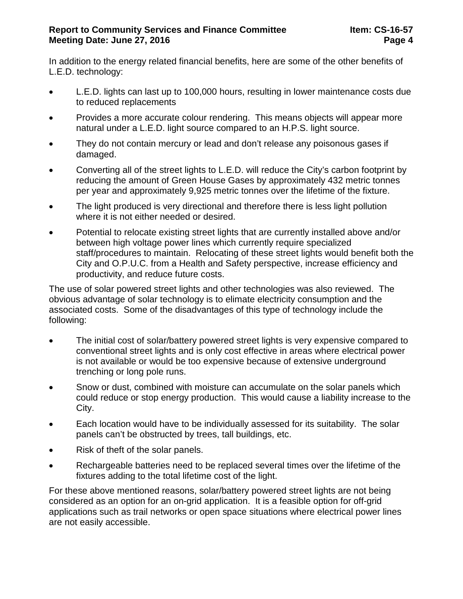In addition to the energy related financial benefits, here are some of the other benefits of L.E.D. technology:

- L.E.D. lights can last up to 100,000 hours, resulting in lower maintenance costs due to reduced replacements
- Provides a more accurate colour rendering. This means objects will appear more natural under a L.E.D. light source compared to an H.P.S. light source.
- They do not contain mercury or lead and don't release any poisonous gases if damaged.
- Converting all of the street lights to L.E.D. will reduce the City's carbon footprint by reducing the amount of Green House Gases by approximately 432 metric tonnes per year and approximately 9,925 metric tonnes over the lifetime of the fixture.
- The light produced is very directional and therefore there is less light pollution where it is not either needed or desired.
- Potential to relocate existing street lights that are currently installed above and/or between high voltage power lines which currently require specialized staff/procedures to maintain. Relocating of these street lights would benefit both the City and O.P.U.C. from a Health and Safety perspective, increase efficiency and productivity, and reduce future costs.

The use of solar powered street lights and other technologies was also reviewed. The obvious advantage of solar technology is to elimate electricity consumption and the associated costs. Some of the disadvantages of this type of technology include the following:

- The initial cost of solar/battery powered street lights is very expensive compared to conventional street lights and is only cost effective in areas where electrical power is not available or would be too expensive because of extensive underground trenching or long pole runs.
- Snow or dust, combined with moisture can accumulate on the solar panels which could reduce or stop energy production. This would cause a liability increase to the City.
- Each location would have to be individually assessed for its suitability. The solar panels can't be obstructed by trees, tall buildings, etc.
- Risk of theft of the solar panels.
- Rechargeable batteries need to be replaced several times over the lifetime of the fixtures adding to the total lifetime cost of the light.

For these above mentioned reasons, solar/battery powered street lights are not being considered as an option for an on-grid application. It is a feasible option for off-grid applications such as trail networks or open space situations where electrical power lines are not easily accessible.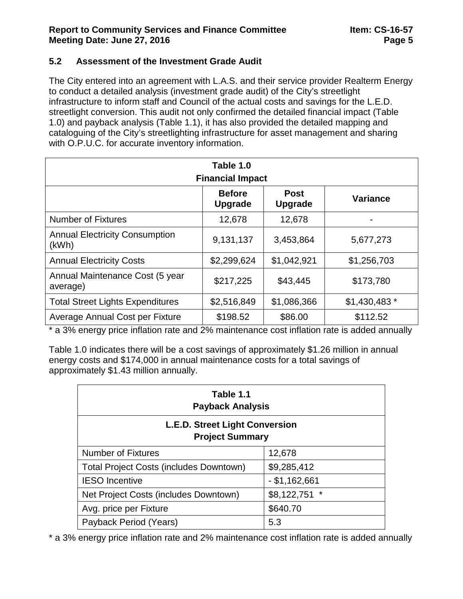#### **5.2 Assessment of the Investment Grade Audit**

The City entered into an agreement with L.A.S. and their service provider Realterm Energy to conduct a detailed analysis (investment grade audit) of the City's streetlight infrastructure to inform staff and Council of the actual costs and savings for the L.E.D. streetlight conversion. This audit not only confirmed the detailed financial impact (Table 1.0) and payback analysis (Table 1.1), it has also provided the detailed mapping and cataloguing of the City's streetlighting infrastructure for asset management and sharing with O.P.U.C. for accurate inventory information.

| Table 1.0<br><b>Financial Impact</b>           |                                 |                               |                 |  |  |
|------------------------------------------------|---------------------------------|-------------------------------|-----------------|--|--|
|                                                | <b>Before</b><br><b>Upgrade</b> | <b>Post</b><br><b>Upgrade</b> | <b>Variance</b> |  |  |
| <b>Number of Fixtures</b>                      | 12,678                          | 12,678                        |                 |  |  |
| <b>Annual Electricity Consumption</b><br>(kWh) | 9,131,137                       | 3,453,864                     | 5,677,273       |  |  |
| <b>Annual Electricity Costs</b>                | \$2,299,624                     | \$1,042,921                   | \$1,256,703     |  |  |
| Annual Maintenance Cost (5 year<br>average)    | \$217,225                       | \$43,445                      | \$173,780       |  |  |
| <b>Total Street Lights Expenditures</b>        | \$2,516,849                     | \$1,086,366                   | $$1,430,483$ *  |  |  |
| Average Annual Cost per Fixture                | \$198.52                        | \$86.00                       | \$112.52        |  |  |

\* a 3% energy price inflation rate and 2% maintenance cost inflation rate is added annually

Table 1.0 indicates there will be a cost savings of approximately \$1.26 million in annual energy costs and \$174,000 in annual maintenance costs for a total savings of approximately \$1.43 million annually.

| Table 1.1<br><b>Payback Analysis</b>                            |                 |  |  |  |  |
|-----------------------------------------------------------------|-----------------|--|--|--|--|
| <b>L.E.D. Street Light Conversion</b><br><b>Project Summary</b> |                 |  |  |  |  |
| <b>Number of Fixtures</b>                                       | 12,678          |  |  |  |  |
| <b>Total Project Costs (includes Downtown)</b>                  | \$9,285,412     |  |  |  |  |
| <b>IESO</b> Incentive                                           | $-$ \$1,162,661 |  |  |  |  |
| Net Project Costs (includes Downtown)                           | \$8,122,751     |  |  |  |  |
| Avg. price per Fixture                                          | \$640.70        |  |  |  |  |
| Payback Period (Years)                                          | 5.3             |  |  |  |  |

\* a 3% energy price inflation rate and 2% maintenance cost inflation rate is added annually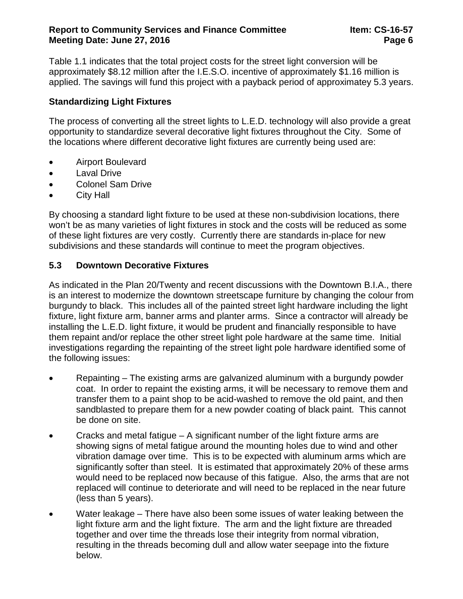#### **Report to Community Services and Finance Committee Item: CS-16-57 Meeting Date: June 27, 2016 Page 6 Page 6**

Table 1.1 indicates that the total project costs for the street light conversion will be approximately \$8.12 million after the I.E.S.O. incentive of approximately \$1.16 million is applied. The savings will fund this project with a payback period of approximatey 5.3 years.

### **Standardizing Light Fixtures**

The process of converting all the street lights to L.E.D. technology will also provide a great opportunity to standardize several decorative light fixtures throughout the City. Some of the locations where different decorative light fixtures are currently being used are:

- Airport Boulevard
- Laval Drive
- Colonel Sam Drive
- City Hall

By choosing a standard light fixture to be used at these non-subdivision locations, there won't be as many varieties of light fixtures in stock and the costs will be reduced as some of these light fixtures are very costly. Currently there are standards in-place for new subdivisions and these standards will continue to meet the program objectives.

### **5.3 Downtown Decorative Fixtures**

As indicated in the Plan 20/Twenty and recent discussions with the Downtown B.I.A., there is an interest to modernize the downtown streetscape furniture by changing the colour from burgundy to black. This includes all of the painted street light hardware including the light fixture, light fixture arm, banner arms and planter arms. Since a contractor will already be installing the L.E.D. light fixture, it would be prudent and financially responsible to have them repaint and/or replace the other street light pole hardware at the same time. Initial investigations regarding the repainting of the street light pole hardware identified some of the following issues:

- Repainting The existing arms are galvanized aluminum with a burgundy powder coat. In order to repaint the existing arms, it will be necessary to remove them and transfer them to a paint shop to be acid-washed to remove the old paint, and then sandblasted to prepare them for a new powder coating of black paint. This cannot be done on site.
- Cracks and metal fatigue  $A$  significant number of the light fixture arms are showing signs of metal fatigue around the mounting holes due to wind and other vibration damage over time. This is to be expected with aluminum arms which are significantly softer than steel. It is estimated that approximately 20% of these arms would need to be replaced now because of this fatigue. Also, the arms that are not replaced will continue to deteriorate and will need to be replaced in the near future (less than 5 years).
- Water leakage There have also been some issues of water leaking between the light fixture arm and the light fixture. The arm and the light fixture are threaded together and over time the threads lose their integrity from normal vibration, resulting in the threads becoming dull and allow water seepage into the fixture below.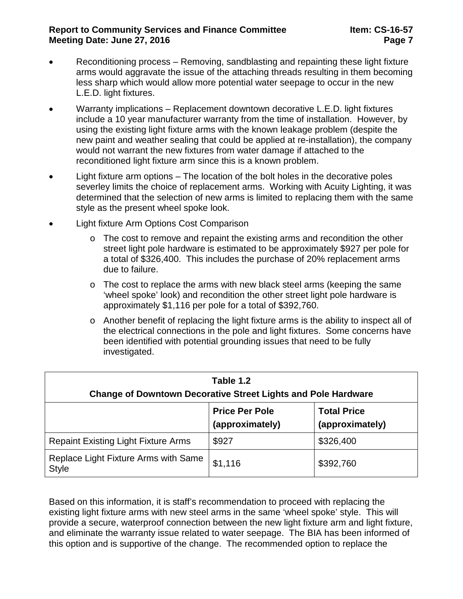#### **Report to Community Services and Finance Committee Item: CS-16-57 Meeting Date: June 27, 2016 Page 7**

- Reconditioning process Removing, sandblasting and repainting these light fixture arms would aggravate the issue of the attaching threads resulting in them becoming less sharp which would allow more potential water seepage to occur in the new L.E.D. light fixtures.
- Warranty implications Replacement downtown decorative L.E.D. light fixtures include a 10 year manufacturer warranty from the time of installation. However, by using the existing light fixture arms with the known leakage problem (despite the new paint and weather sealing that could be applied at re-installation), the company would not warrant the new fixtures from water damage if attached to the reconditioned light fixture arm since this is a known problem.
- Light fixture arm options The location of the bolt holes in the decorative poles severley limits the choice of replacement arms. Working with Acuity Lighting, it was determined that the selection of new arms is limited to replacing them with the same style as the present wheel spoke look.
- Light fixture Arm Options Cost Comparison
	- $\circ$  The cost to remove and repaint the existing arms and recondition the other street light pole hardware is estimated to be approximately \$927 per pole for a total of \$326,400. This includes the purchase of 20% replacement arms due to failure.
	- $\circ$  The cost to replace the arms with new black steel arms (keeping the same 'wheel spoke' look) and recondition the other street light pole hardware is approximately \$1,116 per pole for a total of \$392,760.
	- o Another benefit of replacing the light fixture arms is the ability to inspect all of the electrical connections in the pole and light fixtures. Some concerns have been identified with potential grounding issues that need to be fully investigated.

| Table 1.2<br><b>Change of Downtown Decorative Street Lights and Pole Hardware</b> |                                          |                                       |  |  |
|-----------------------------------------------------------------------------------|------------------------------------------|---------------------------------------|--|--|
|                                                                                   | <b>Price Per Pole</b><br>(approximately) | <b>Total Price</b><br>(approximately) |  |  |
| <b>Repaint Existing Light Fixture Arms</b>                                        | \$927                                    | \$326,400                             |  |  |
| Replace Light Fixture Arms with Same<br><b>Style</b>                              | \$1,116                                  | \$392,760                             |  |  |

Based on this information, it is staff's recommendation to proceed with replacing the existing light fixture arms with new steel arms in the same 'wheel spoke' style. This will provide a secure, waterproof connection between the new light fixture arm and light fixture, and eliminate the warranty issue related to water seepage. The BIA has been informed of this option and is supportive of the change. The recommended option to replace the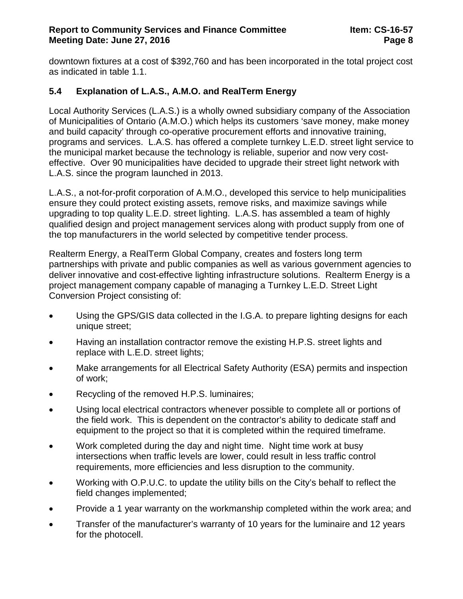downtown fixtures at a cost of \$392,760 and has been incorporated in the total project cost as indicated in table 1.1.

### **5.4 Explanation of L.A.S., A.M.O. and RealTerm Energy**

Local Authority Services (L.A.S.) is a wholly owned subsidiary company of the Association of Municipalities of Ontario (A.M.O.) which helps its customers 'save money, make money and build capacity' through co-operative procurement efforts and innovative training, programs and services. L.A.S. has offered a complete turnkey L.E.D. street light service to the municipal market because the technology is reliable, superior and now very costeffective. Over 90 municipalities have decided to upgrade their street light network with L.A.S. since the program launched in 2013.

L.A.S., a not-for-profit corporation of A.M.O., developed this service to help municipalities ensure they could protect existing assets, remove risks, and maximize savings while upgrading to top quality L.E.D. street lighting. L.A.S. has assembled a team of highly qualified design and project management services along with product supply from one of the top manufacturers in the world selected by competitive tender process.

Realterm Energy, a RealTerm Global Company, creates and fosters long term partnerships with private and public companies as well as various government agencies to deliver innovative and cost-effective lighting infrastructure solutions. Realterm Energy is a project management company capable of managing a Turnkey L.E.D. Street Light Conversion Project consisting of:

- Using the GPS/GIS data collected in the I.G.A. to prepare lighting designs for each unique street;
- Having an installation contractor remove the existing H.P.S. street lights and replace with L.E.D. street lights;
- Make arrangements for all Electrical Safety Authority (ESA) permits and inspection of work;
- Recycling of the removed H.P.S. luminaires;
- Using local electrical contractors whenever possible to complete all or portions of the field work. This is dependent on the contractor's ability to dedicate staff and equipment to the project so that it is completed within the required timeframe.
- Work completed during the day and night time. Night time work at busy intersections when traffic levels are lower, could result in less traffic control requirements, more efficiencies and less disruption to the community.
- Working with O.P.U.C. to update the utility bills on the City's behalf to reflect the field changes implemented;
- Provide a 1 year warranty on the workmanship completed within the work area; and
- Transfer of the manufacturer's warranty of 10 years for the luminaire and 12 years for the photocell.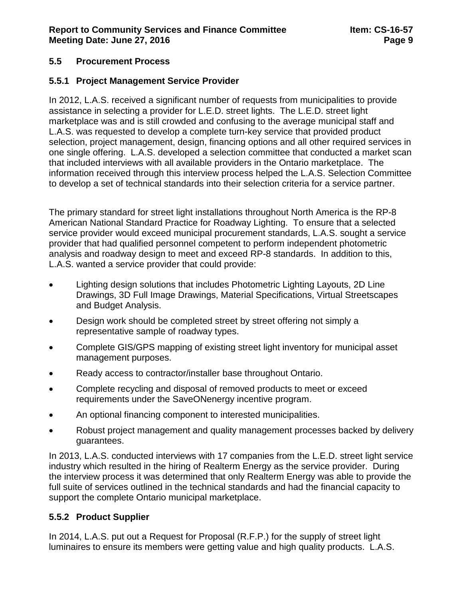### **5.5 Procurement Process**

### **5.5.1 Project Management Service Provider**

In 2012, L.A.S. received a significant number of requests from municipalities to provide assistance in selecting a provider for L.E.D. street lights. The L.E.D. street light marketplace was and is still crowded and confusing to the average municipal staff and L.A.S. was requested to develop a complete turn-key service that provided product selection, project management, design, financing options and all other required services in one single offering. L.A.S. developed a selection committee that conducted a market scan that included interviews with all available providers in the Ontario marketplace. The information received through this interview process helped the L.A.S. Selection Committee to develop a set of technical standards into their selection criteria for a service partner.

The primary standard for street light installations throughout North America is the RP-8 American National Standard Practice for Roadway Lighting. To ensure that a selected service provider would exceed municipal procurement standards, L.A.S. sought a service provider that had qualified personnel competent to perform independent photometric analysis and roadway design to meet and exceed RP-8 standards. In addition to this, L.A.S. wanted a service provider that could provide:

- Lighting design solutions that includes Photometric Lighting Layouts, 2D Line Drawings, 3D Full Image Drawings, Material Specifications, Virtual Streetscapes and Budget Analysis.
- Design work should be completed street by street offering not simply a representative sample of roadway types.
- Complete GIS/GPS mapping of existing street light inventory for municipal asset management purposes.
- Ready access to contractor/installer base throughout Ontario.
- Complete recycling and disposal of removed products to meet or exceed requirements under the SaveONenergy incentive program.
- An optional financing component to interested municipalities.
- Robust project management and quality management processes backed by delivery guarantees.

In 2013, L.A.S. conducted interviews with 17 companies from the L.E.D. street light service industry which resulted in the hiring of Realterm Energy as the service provider. During the interview process it was determined that only Realterm Energy was able to provide the full suite of services outlined in the technical standards and had the financial capacity to support the complete Ontario municipal marketplace.

### **5.5.2 Product Supplier**

In 2014, L.A.S. put out a Request for Proposal (R.F.P.) for the supply of street light luminaires to ensure its members were getting value and high quality products. L.A.S.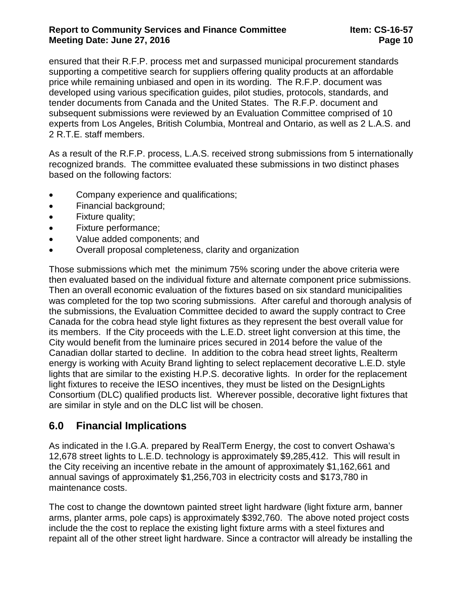#### **Report to Community Services and Finance Committee Item: CS-16-57 Meeting Date: June 27, 2016 Page 10 Page 10**

ensured that their R.F.P. process met and surpassed municipal procurement standards supporting a competitive search for suppliers offering quality products at an affordable price while remaining unbiased and open in its wording. The R.F.P. document was developed using various specification guides, pilot studies, protocols, standards, and tender documents from Canada and the United States. The R.F.P. document and subsequent submissions were reviewed by an Evaluation Committee comprised of 10 experts from Los Angeles, British Columbia, Montreal and Ontario, as well as 2 L.A.S. and 2 R.T.E. staff members.

As a result of the R.F.P. process, L.A.S. received strong submissions from 5 internationally recognized brands. The committee evaluated these submissions in two distinct phases based on the following factors:

- Company experience and qualifications;
- Financial background;
- Fixture quality:
- Fixture performance;
- Value added components; and
- Overall proposal completeness, clarity and organization

Those submissions which met the minimum 75% scoring under the above criteria were then evaluated based on the individual fixture and alternate component price submissions. Then an overall economic evaluation of the fixtures based on six standard municipalities was completed for the top two scoring submissions. After careful and thorough analysis of the submissions, the Evaluation Committee decided to award the supply contract to Cree Canada for the cobra head style light fixtures as they represent the best overall value for its members. If the City proceeds with the L.E.D. street light conversion at this time, the City would benefit from the luminaire prices secured in 2014 before the value of the Canadian dollar started to decline. In addition to the cobra head street lights, Realterm energy is working with Acuity Brand lighting to select replacement decorative L.E.D. style lights that are similar to the existing H.P.S. decorative lights. In order for the replacement light fixtures to receive the IESO incentives, they must be listed on the DesignLights Consortium (DLC) qualified products list. Wherever possible, decorative light fixtures that are similar in style and on the DLC list will be chosen.

### **6.0 Financial Implications**

As indicated in the I.G.A. prepared by RealTerm Energy, the cost to convert Oshawa's 12,678 street lights to L.E.D. technology is approximately \$9,285,412. This will result in the City receiving an incentive rebate in the amount of approximately \$1,162,661 and annual savings of approximately \$1,256,703 in electricity costs and \$173,780 in maintenance costs.

The cost to change the downtown painted street light hardware (light fixture arm, banner arms, planter arms, pole caps) is approximately \$392,760. The above noted project costs include the the cost to replace the existing light fixture arms with a steel fixtures and repaint all of the other street light hardware. Since a contractor will already be installing the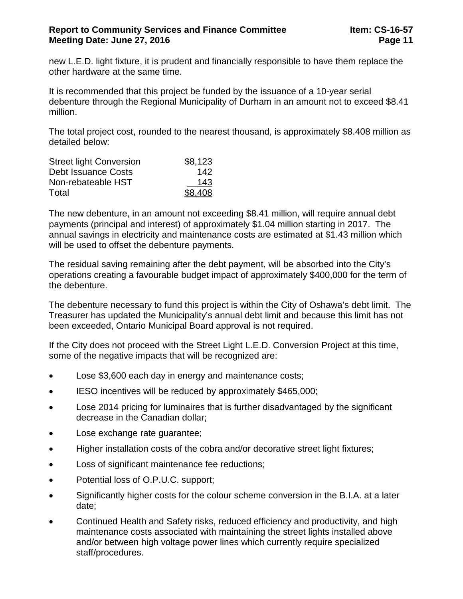new L.E.D. light fixture, it is prudent and financially responsible to have them replace the other hardware at the same time.

It is recommended that this project be funded by the issuance of a 10-year serial debenture through the Regional Municipality of Durham in an amount not to exceed \$8.41 million.

The total project cost, rounded to the nearest thousand, is approximately \$8.408 million as detailed below:

| <b>Street light Conversion</b> | \$8,123 |
|--------------------------------|---------|
| Debt Issuance Costs            | 142     |
| Non-rebateable HST             | 143     |
| Total                          | \$8,408 |

The new debenture, in an amount not exceeding \$8.41 million, will require annual debt payments (principal and interest) of approximately \$1.04 million starting in 2017. The annual savings in electricity and maintenance costs are estimated at \$1.43 million which will be used to offset the debenture payments.

The residual saving remaining after the debt payment, will be absorbed into the City's operations creating a favourable budget impact of approximately \$400,000 for the term of the debenture.

The debenture necessary to fund this project is within the City of Oshawa's debt limit. The Treasurer has updated the Municipality's annual debt limit and because this limit has not been exceeded, Ontario Municipal Board approval is not required.

If the City does not proceed with the Street Light L.E.D. Conversion Project at this time, some of the negative impacts that will be recognized are:

- Lose \$3,600 each day in energy and maintenance costs;
- IESO incentives will be reduced by approximately \$465,000;
- Lose 2014 pricing for luminaires that is further disadvantaged by the significant decrease in the Canadian dollar;
- Lose exchange rate guarantee;
- Higher installation costs of the cobra and/or decorative street light fixtures;
- Loss of significant maintenance fee reductions;
- Potential loss of O.P.U.C. support;
- Significantly higher costs for the colour scheme conversion in the B.I.A. at a later date;
- Continued Health and Safety risks, reduced efficiency and productivity, and high maintenance costs associated with maintaining the street lights installed above and/or between high voltage power lines which currently require specialized staff/procedures.